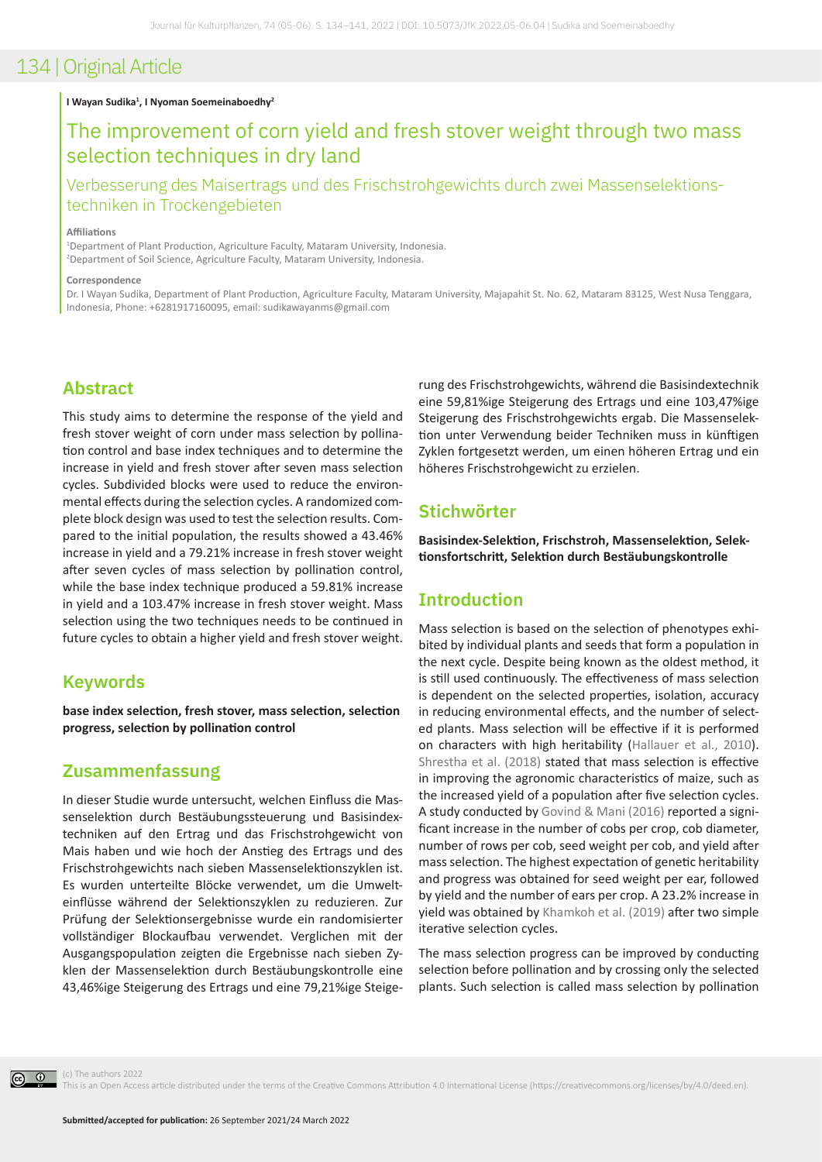#### **I Wayan Sudika1 , I Nyoman Soemeinaboedhy2**

## The improvement of corn yield and fresh stover weight through two mass selection techniques in dry land

Verbesserung des Maisertrags und des Frischstrohgewichts durch zwei Massenselektionstechniken in Trockengebieten

#### **Affiliations**

1 Department of Plant Production, Agriculture Faculty, Mataram University, Indonesia. 2 Department of Soil Science, Agriculture Faculty, Mataram University, Indonesia.

#### **Correspondence**

Dr. I Wayan Sudika, Department of Plant Production, Agriculture Faculty, Mataram University, Majapahit St. No. 62, Mataram 83125, West Nusa Tenggara, Indonesia, Phone: +6281917160095, email: sudikawayanms@gmail.com

## **Abstract**

This study aims to determine the response of the yield and fresh stover weight of corn under mass selection by pollination control and base index techniques and to determine the increase in yield and fresh stover after seven mass selection cycles. Subdivided blocks were used to reduce the environmental effects during the selection cycles. A randomized complete block design was used to test the selection results. Compared to the initial population, the results showed a 43.46% increase in yield and a 79.21% increase in fresh stover weight after seven cycles of mass selection by pollination control, while the base index technique produced a 59.81% increase in yield and a 103.47% increase in fresh stover weight. Mass selection using the two techniques needs to be continued in future cycles to obtain a higher yield and fresh stover weight.

### **Keywords**

**base index selection, fresh stover, mass selection, selection progress, selection by pollination control**

### **Zusammenfassung**

In dieser Studie wurde untersucht, welchen Einfluss die Massenselektion durch Bestäubungssteuerung und Basisindextechniken auf den Ertrag und das Frischstrohgewicht von Mais haben und wie hoch der Anstieg des Ertrags und des Frischstrohgewichts nach sieben Massenselektionszyklen ist. Es wurden unterteilte Blöcke verwendet, um die Umwelteinflüsse während der Selektionszyklen zu reduzieren. Zur Prüfung der Selektionsergebnisse wurde ein randomisierter vollständiger Blockaufbau verwendet. Verglichen mit der Ausgangspopulation zeigten die Ergebnisse nach sieben Zyklen der Massenselektion durch Bestäubungskontrolle eine 43,46%ige Steigerung des Ertrags und eine 79,21%ige Steige-

rung des Frischstrohgewichts, während die Basisindextechnik eine 59,81%ige Steigerung des Ertrags und eine 103,47%ige Steigerung des Frischstrohgewichts ergab. Die Massenselektion unter Verwendung beider Techniken muss in künftigen Zyklen fortgesetzt werden, um einen höheren Ertrag und ein höheres Frischstrohgewicht zu erzielen.

### **Stichwörter**

**Basisindex-Selektion, Frischstroh, Massenselektion, Selektionsfortschritt, Selektion durch Bestäubungskontrolle**

## **Introduction**

Mass selection is based on the selection of phenotypes exhibited by individual plants and seeds that form a population in the next cycle. Despite being known as the oldest method, it is still used continuously. The effectiveness of mass selection is dependent on the selected properties, isolation, accuracy in reducing environmental effects, and the number of selected plants. Mass selection will be effective if it is performed on characters with high heritability ([Hallauer et al., 2010](#page-7-0)). [Shrestha et al. \(2018\)](#page-7-1) stated that mass selection is effective in improving the agronomic characteristics of maize, such as the increased yield of a population after five selection cycles. A study conducted by [Govind & Mani \(2016\)](#page-6-0) reported a significant increase in the number of cobs per crop, cob diameter, number of rows per cob, seed weight per cob, and yield after mass selection. The highest expectation of genetic heritability and progress was obtained for seed weight per ear, followed by yield and the number of ears per crop. A 23.2% increase in yield was obtained by [Khamkoh et al. \(2019\)](#page-7-2) after two simple iterative selection cycles.

The mass selection progress can be improved by conducting selection before pollination and by crossing only the selected plants. Such selection is called mass selection by pollination



(c) The authors 2022

This is an Open Access article distributed under the terms of the Creative Commons Attribution 4.0 International License (https://creativecommons.org/licenses/by/4.0/deed.en).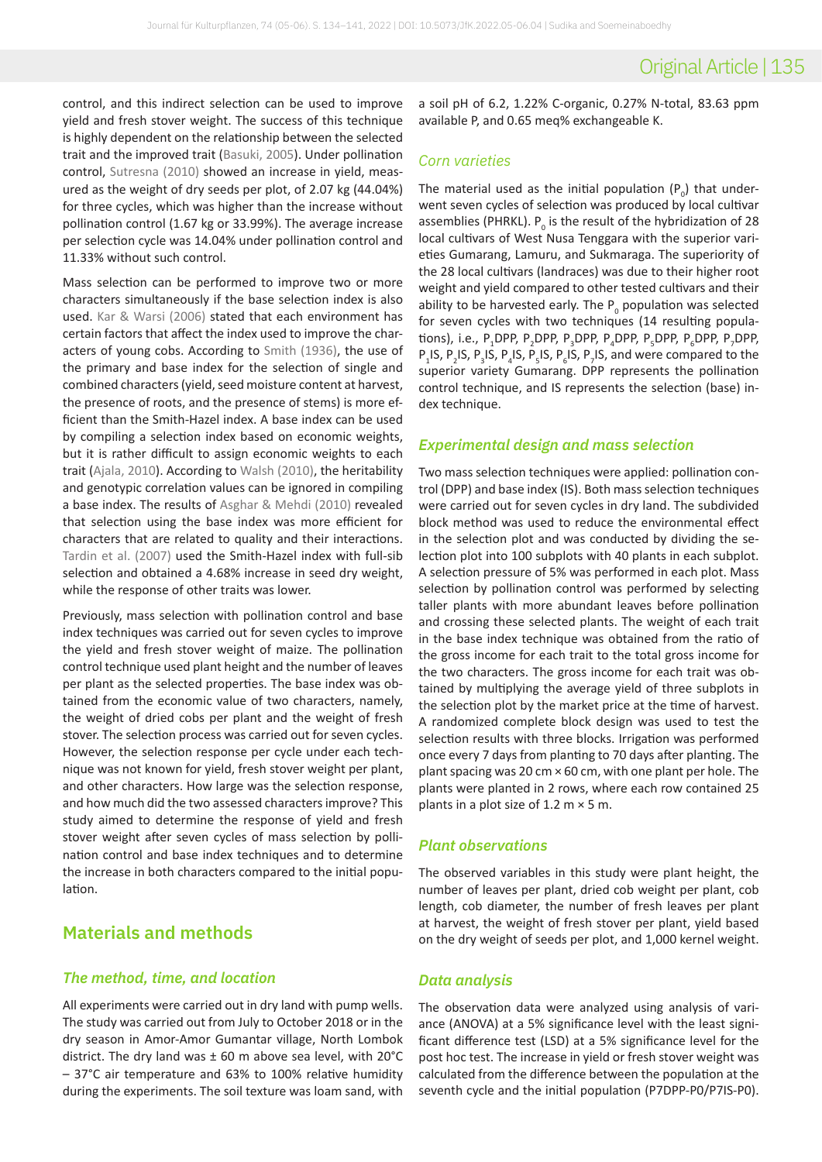control, and this indirect selection can be used to improve yield and fresh stover weight. The success of this technique is highly dependent on the relationship between the selected trait and the improved trait ([Basuki, 2005\)](#page-6-1). Under pollination control, [Sutresna \(2010\)](#page-7-3) showed an increase in yield, measured as the weight of dry seeds per plot, of 2.07 kg (44.04%) for three cycles, which was higher than the increase without pollination control (1.67 kg or 33.99%). The average increase per selection cycle was 14.04% under pollination control and 11.33% without such control.

Mass selection can be performed to improve two or more characters simultaneously if the base selection index is also used. [Kar & Warsi \(2006\)](#page-7-4) stated that each environment has certain factors that affect the index used to improve the characters of young cobs. According to [Smith \(1936\)](#page-7-5), the use of the primary and base index for the selection of single and combined characters (yield, seed moisture content at harvest, the presence of roots, and the presence of stems) is more efficient than the Smith-Hazel index. A base index can be used by compiling a selection index based on economic weights, but it is rather difficult to assign economic weights to each trait ([Ajala, 2010\)](#page-6-2). According to [Walsh \(2010\)](#page-7-6), the heritability and genotypic correlation values can be ignored in compiling a base index. The results of [Asghar & Mehdi \(2010\)](#page-6-3) revealed that selection using the base index was more efficient for characters that are related to quality and their interactions. [Tardin et al. \(2007\)](#page-7-7) used the Smith-Hazel index with full-sib selection and obtained a 4.68% increase in seed dry weight, while the response of other traits was lower.

Previously, mass selection with pollination control and base index techniques was carried out for seven cycles to improve the yield and fresh stover weight of maize. The pollination control technique used plant height and the number of leaves per plant as the selected properties. The base index was obtained from the economic value of two characters, namely, the weight of dried cobs per plant and the weight of fresh stover. The selection process was carried out for seven cycles. However, the selection response per cycle under each technique was not known for yield, fresh stover weight per plant, and other characters. How large was the selection response, and how much did the two assessed characters improve? This study aimed to determine the response of yield and fresh stover weight after seven cycles of mass selection by pollination control and base index techniques and to determine the increase in both characters compared to the initial population.

### **Materials and methods**

#### *The method, time, and location*

All experiments were carried out in dry land with pump wells. The study was carried out from July to October 2018 or in the dry season in Amor-Amor Gumantar village, North Lombok district. The dry land was  $\pm$  60 m above sea level, with 20 $^{\circ}$ C – 37°C air temperature and 63% to 100% relative humidity during the experiments. The soil texture was loam sand, with

a soil pH of 6.2, 1.22% C-organic, 0.27% N-total, 83.63 ppm available P, and 0.65 meq% exchangeable K.

### *Corn varieties*

The material used as the initial population  $(P_{_0})$  that underwent seven cycles of selection was produced by local cultivar assemblies (PHRKL).  $P_{0}$  is the result of the hybridization of 28 local cultivars of West Nusa Tenggara with the superior varieties Gumarang, Lamuru, and Sukmaraga. The superiority of the 28 local cultivars (landraces) was due to their higher root weight and yield compared to other tested cultivars and their ability to be harvested early. The  $P_{0}$  population was selected for seven cycles with two techniques (14 resulting populations), i.e., P $_1$ DPP, P $_2$ DPP, P $_3$ DPP, P $_4$ DPP, P $_5$ DPP, P $_6$ DPP, P $_7$ DPP, P<sub>1</sub>IS, P<sub>2</sub>IS, P<sub>3</sub>IS, P<sub>4</sub>IS, P<sub>5</sub>IS, P<sub>6</sub>IS, P<sub>7</sub>IS, and were compared to the superior variety Gumarang. DPP represents the pollination control technique, and IS represents the selection (base) index technique.

#### *Experimental design and mass selection*

Two mass selection techniques were applied: pollination control (DPP) and base index (IS). Both mass selection techniques were carried out for seven cycles in dry land. The subdivided block method was used to reduce the environmental effect in the selection plot and was conducted by dividing the selection plot into 100 subplots with 40 plants in each subplot. A selection pressure of 5% was performed in each plot. Mass selection by pollination control was performed by selecting taller plants with more abundant leaves before pollination and crossing these selected plants. The weight of each trait in the base index technique was obtained from the ratio of the gross income for each trait to the total gross income for the two characters. The gross income for each trait was obtained by multiplying the average yield of three subplots in the selection plot by the market price at the time of harvest. A randomized complete block design was used to test the selection results with three blocks. Irrigation was performed once every 7 days from planting to 70 days after planting. The plant spacing was 20 cm × 60 cm, with one plant per hole. The plants were planted in 2 rows, where each row contained 25 plants in a plot size of 1.2  $m \times 5 m$ .

#### *Plant observations*

The observed variables in this study were plant height, the number of leaves per plant, dried cob weight per plant, cob length, cob diameter, the number of fresh leaves per plant at harvest, the weight of fresh stover per plant, yield based on the dry weight of seeds per plot, and 1,000 kernel weight.

#### *Data analysis*

The observation data were analyzed using analysis of variance (ANOVA) at a 5% significance level with the least significant difference test (LSD) at a 5% significance level for the post hoc test. The increase in yield or fresh stover weight was calculated from the difference between the population at the seventh cycle and the initial population (P7DPP-P0/P7IS-P0).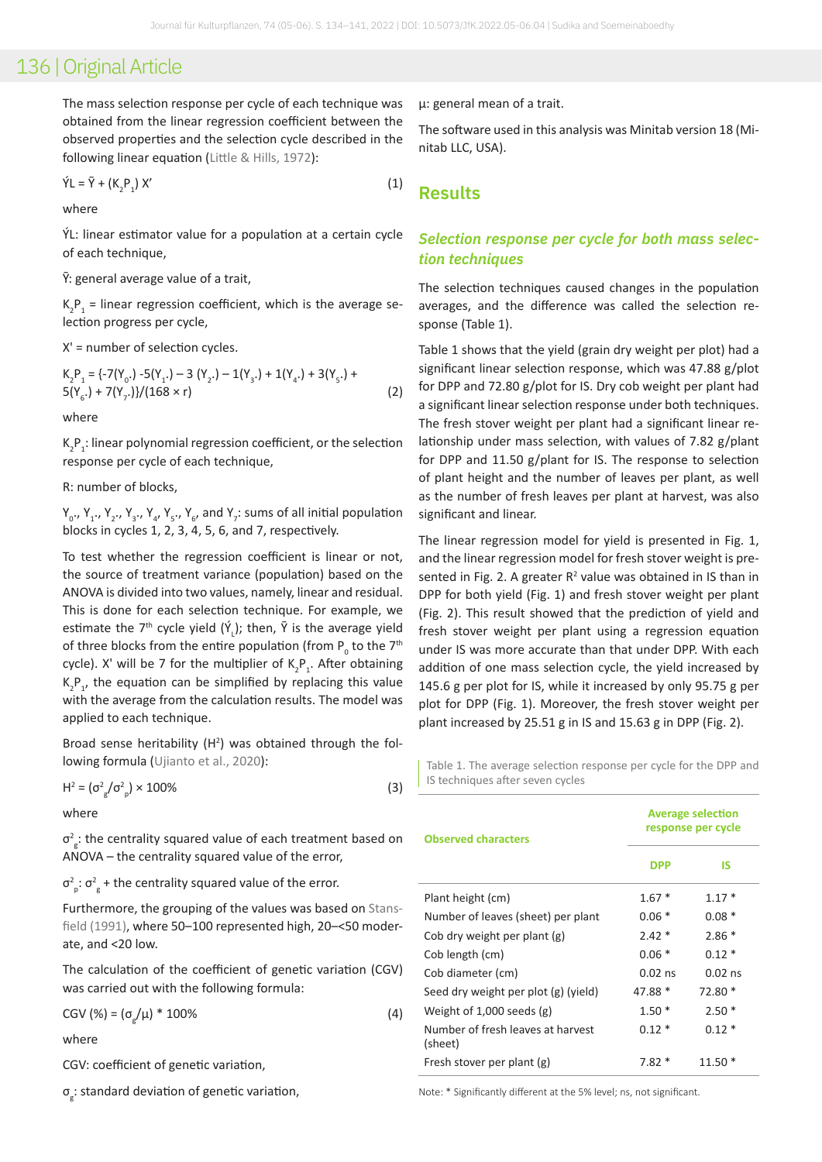The mass selection response per cycle of each technique was obtained from the linear regression coefficient between the observed properties and the selection cycle described in the following linear equation ([Little & Hills, 1972](#page-7-8)):

$$
\hat{Y}L = \bar{Y} + (K_2 P_1) X'
$$
 (1)

where

ÝL: linear estimator value for a population at a certain cycle of each technique,

 $\bar{Y}$ : general average value of a trait,

 $K_{2}P_{1}$  = linear regression coefficient, which is the average selection progress per cycle,

X' = number of selection cycles.

$$
K_2P_1 = \{-7(Y_0) - 5(Y_1) - 3(Y_2) - 1(Y_3) + 1(Y_4) + 3(Y_5) + 5(Y_6) + 7(Y_7)\}/(168 \times r)
$$
\n(2)

where

 $K_2P_1$ : linear polynomial regression coefficient, or the selection response per cycle of each technique,

R: number of blocks,

 $Y_{0}$ .,  $Y_{1}$ .,  $Y_{2}$ .,  $Y_{3}$ .,  $Y_{4}$ ,  $Y_{5}$ .,  $Y_{6}$ , and  $Y_{7}$ : sums of all initial population blocks in cycles 1, 2, 3, 4, 5, 6, and 7, respectively.

To test whether the regression coefficient is linear or not, the source of treatment variance (population) based on the ANOVA is divided into two values, namely, linear and residual. This is done for each selection technique. For example, we estimate the  $7<sup>th</sup>$  cycle yield  $(\check{Y}_L)$ ; then,  $\bar{Y}$  is the average yield of three blocks from the entire population (from  $P_{0}$  to the 7<sup>th</sup> cycle). X' will be 7 for the multiplier of  $K_2P_1$ . After obtaining  $K_2P_1$ , the equation can be simplified by replacing this value with the average from the calculation results. The model was applied to each technique.

Broad sense heritability  $(H^2)$  was obtained through the following formula ([Ujianto et al., 2020\)](#page-7-9):

 $H^2 = (\sigma_{\rm g}^2/\sigma_{\rm p}^2) \times 100\%$  (3)

where

 $\sigma_{\frac{2}{g}}^{2}$ : the centrality squared value of each treatment based on ANOVA – the centrality squared value of the error,

 $\sigma_{\rm p}^2$ :  $\sigma_{\rm g}^2$  + the centrality squared value of the error.

Furthermore, the grouping of the values was based on [Stans](#page-7-10)[field \(1991\),](#page-7-10) where 50–100 represented high, 20–<50 moderate, and <20 low.

The calculation of the coefficient of genetic variation (CGV) was carried out with the following formula:

CGV (%) = ( $\sigma_{g}/\mu$ ) \* 100% (4)

where

CGV: coefficient of genetic variation,

σg : standard deviation of genetic variation,

μ: general mean of a trait.

The software used in this analysis was Minitab version 18 (Minitab LLC, USA).

## **Results**

### *Selection response per cycle for both mass selection techniques*

The selection techniques caused changes in the population averages, and the difference was called the selection response (Table 1).

Table 1 shows that the yield (grain dry weight per plot) had a significant linear selection response, which was 47.88 g/plot for DPP and 72.80 g/plot for IS. Dry cob weight per plant had a significant linear selection response under both techniques. The fresh stover weight per plant had a significant linear relationship under mass selection, with values of 7.82 g/plant for DPP and 11.50 g/plant for IS. The response to selection of plant height and the number of leaves per plant, as well as the number of fresh leaves per plant at harvest, was also significant and linear.

The linear regression model for yield is presented in Fig. 1, and the linear regression model for fresh stover weight is presented in Fig. 2. A greater  $R^2$  value was obtained in IS than in DPP for both yield (Fig. 1) and fresh stover weight per plant (Fig. 2). This result showed that the prediction of yield and fresh stover weight per plant using a regression equation under IS was more accurate than that under DPP. With each addition of one mass selection cycle, the yield increased by 145.6 g per plot for IS, while it increased by only 95.75 g per plot for DPP (Fig. 1). Moreover, the fresh stover weight per plant increased by 25.51 g in IS and 15.63 g in DPP (Fig. 2).

Table 1. The average selection response per cycle for the DPP and IS techniques after seven cycles

| <b>Observed characters</b>                   | <b>Average selection</b><br>response per cycle |           |  |  |  |
|----------------------------------------------|------------------------------------------------|-----------|--|--|--|
|                                              | <b>DPP</b>                                     | IS        |  |  |  |
| Plant height (cm)                            | $1.67*$                                        | $1.17*$   |  |  |  |
| Number of leaves (sheet) per plant           | $0.06*$                                        | $0.08*$   |  |  |  |
| Cob dry weight per plant (g)                 | $2.42*$                                        | $2.86*$   |  |  |  |
| Cob length (cm)                              | $0.06*$                                        | $0.12*$   |  |  |  |
| Cob diameter (cm)                            | $0.02$ ns                                      | $0.02$ ns |  |  |  |
| Seed dry weight per plot (g) (yield)         | 47.88 *                                        | 72.80 *   |  |  |  |
| Weight of 1,000 seeds $(g)$                  | $1.50*$                                        | $2.50*$   |  |  |  |
| Number of fresh leaves at harvest<br>(sheet) | $0.12*$                                        | $0.12*$   |  |  |  |
| Fresh stover per plant (g)                   | $7.82*$                                        | 11.50     |  |  |  |

Note: \* Significantly different at the 5% level; ns, not significant.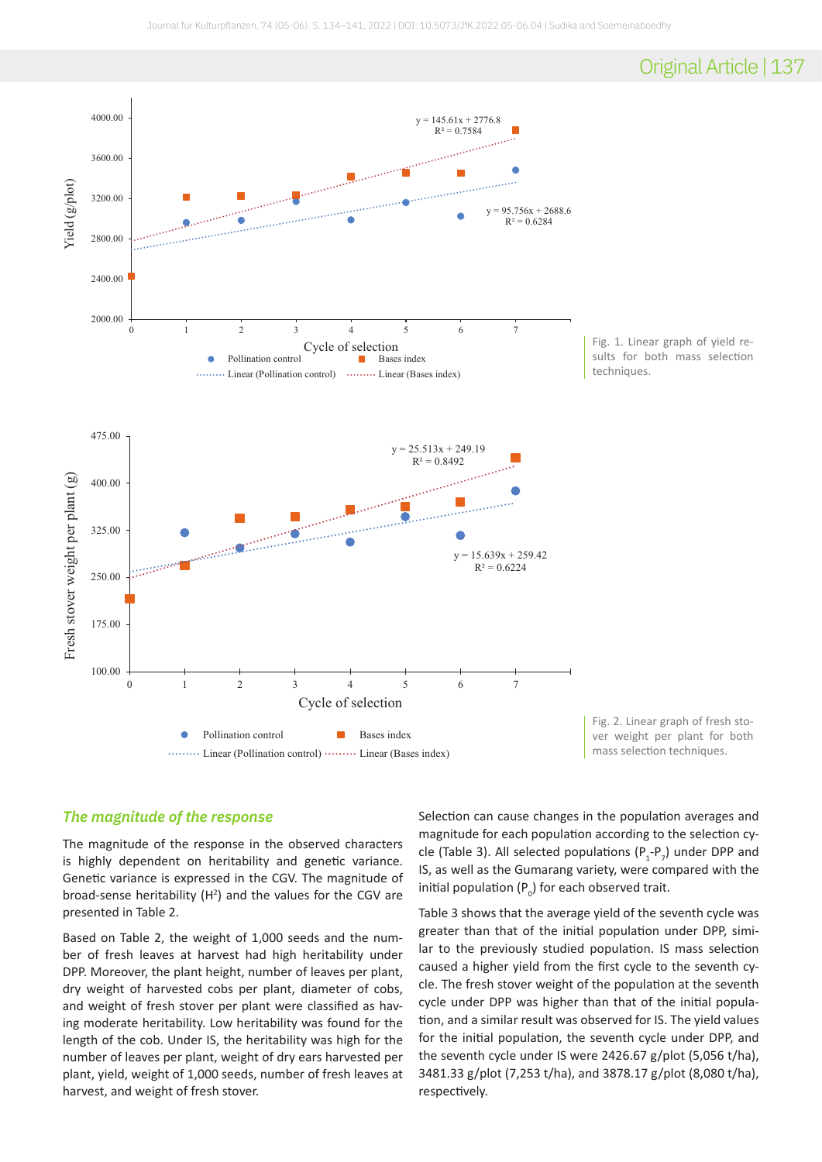## Original Article | 137



### *The magnitude of the response*

The magnitude of the response in the observed characters is highly dependent on heritability and genetic variance. Genetic variance is expressed in the CGV. The magnitude of broad-sense heritability  $(H^2)$  and the values for the CGV are presented in Table 2.

Based on Table 2, the weight of 1,000 seeds and the number of fresh leaves at harvest had high heritability under DPP. Moreover, the plant height, number of leaves per plant, dry weight of harvested cobs per plant, diameter of cobs, and weight of fresh stover per plant were classified as having moderate heritability. Low heritability was found for the length of the cob. Under IS, the heritability was high for the number of leaves per plant, weight of dry ears harvested per plant, yield, weight of 1,000 seeds, number of fresh leaves at harvest, and weight of fresh stover.

Selection can cause changes in the population averages and magnitude for each population according to the selection cycle (Table 3). All selected populations  $(P_1-P_7)$  under DPP and IS, as well as the Gumarang variety, were compared with the initial population ( $P_{0}$ ) for each observed trait.

Table 3 shows that the average yield of the seventh cycle was greater than that of the initial population under DPP, similar to the previously studied population. IS mass selection caused a higher yield from the first cycle to the seventh cycle. The fresh stover weight of the population at the seventh cycle under DPP was higher than that of the initial population, and a similar result was observed for IS. The yield values for the initial population, the seventh cycle under DPP, and the seventh cycle under IS were 2426.67 g/plot (5,056 t/ha), 3481.33 g/plot (7,253 t/ha), and 3878.17 g/plot (8,080 t/ha), respectively.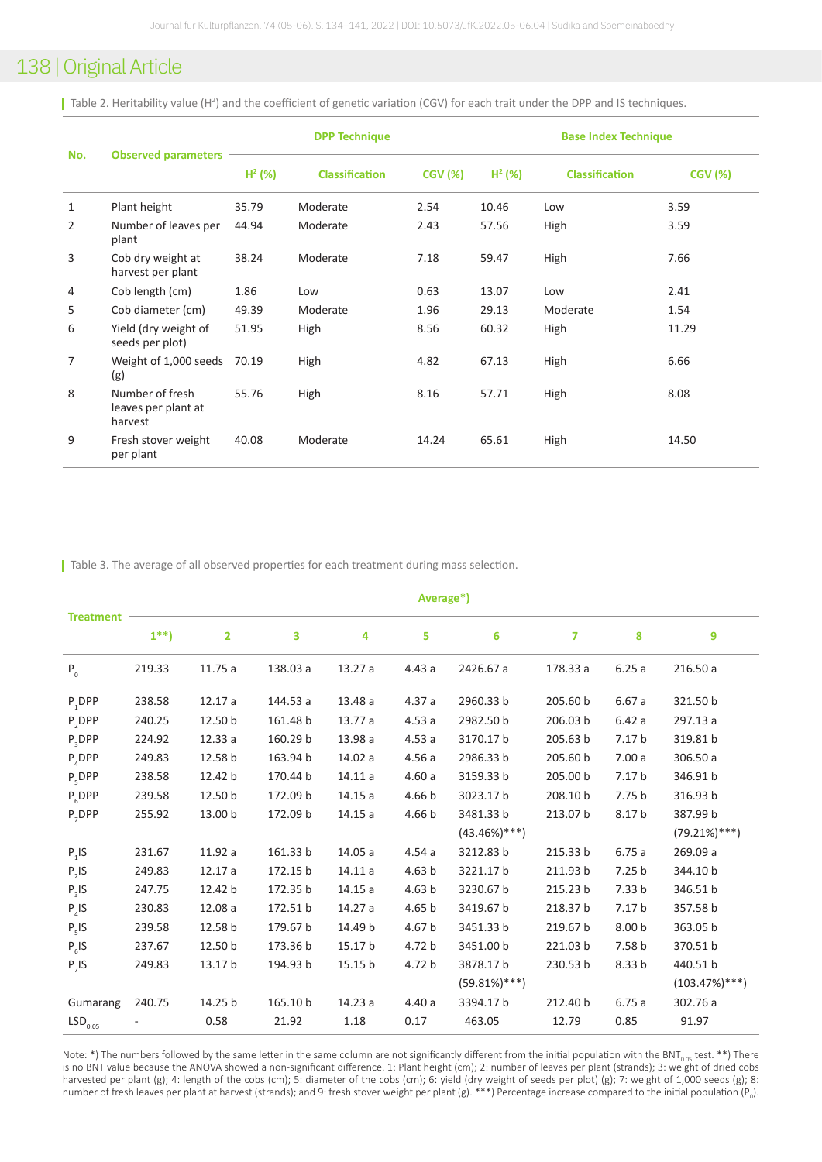Table 2. Heritability value (H<sup>2</sup>) and the coefficient of genetic variation (CGV) for each trait under the DPP and IS techniques.

| No. | <b>Observed parameters</b>                        | <b>DPP Technique</b> |                       |                | <b>Base Index Technique</b> |                       |                |  |
|-----|---------------------------------------------------|----------------------|-----------------------|----------------|-----------------------------|-----------------------|----------------|--|
|     |                                                   | $H^2$ (%)            | <b>Classification</b> | <b>CGV (%)</b> | $H^2$ (%)                   | <b>Classification</b> | <b>CGV (%)</b> |  |
| 1   | Plant height                                      | 35.79                | Moderate              | 2.54           | 10.46                       | Low                   | 3.59           |  |
| 2   | Number of leaves per<br>plant                     | 44.94                | Moderate              | 2.43           | 57.56                       | High                  | 3.59           |  |
| 3   | Cob dry weight at<br>harvest per plant            | 38.24                | Moderate              | 7.18           | 59.47                       | High                  | 7.66           |  |
| 4   | Cob length (cm)                                   | 1.86                 | Low                   | 0.63           | 13.07                       | Low                   | 2.41           |  |
| 5   | Cob diameter (cm)                                 | 49.39                | Moderate              | 1.96           | 29.13                       | Moderate              | 1.54           |  |
| 6   | Yield (dry weight of<br>seeds per plot)           | 51.95                | High                  | 8.56           | 60.32                       | High                  | 11.29          |  |
| 7   | Weight of 1,000 seeds<br>(g)                      | 70.19                | High                  | 4.82           | 67.13                       | High                  | 6.66           |  |
| 8   | Number of fresh<br>leaves per plant at<br>harvest | 55.76                | High                  | 8.16           | 57.71                       | High                  | 8.08           |  |
| 9   | Fresh stover weight<br>per plant                  | 40.08                | Moderate              | 14.24          | 65.61                       | High                  | 14.50          |  |

| Table 3. The average of all observed properties for each treatment during mass selection.

| <b>Treatment</b>      | Average*) |                |          |         |                   |                  |                |                   |                  |
|-----------------------|-----------|----------------|----------|---------|-------------------|------------------|----------------|-------------------|------------------|
|                       | $1^{**}$  | $\overline{2}$ | 3        | 4       | 5                 | 6                | $\overline{ }$ | 8                 | 9                |
| $P_0$                 | 219.33    | 11.75a         | 138.03 a | 13.27 a | 4.43a             | 2426.67 a        | 178.33 a       | 6.25a             | 216.50 a         |
| $P_1$ DPP             | 238.58    | 12.17a         | 144.53 a | 13.48 a | 4.37a             | 2960.33 b        | 205.60 b       | 6.67a             | 321.50 b         |
| $P,$ DPP              | 240.25    | 12.50 b        | 161.48 b | 13.77 a | 4.53a             | 2982.50 b        | 206.03 b       | 6.42a             | 297.13 a         |
| $P_3$ DPP             | 224.92    | 12.33a         | 160.29 b | 13.98 a | 4.53a             | 3170.17 b        | 205.63 b       | 7.17 <sub>b</sub> | 319.81 b         |
| $P_{4}DPP$            | 249.83    | 12.58 b        | 163.94 b | 14.02 a | 4.56a             | 2986.33 b        | 205.60 b       | 7.00a             | 306.50 a         |
| $P_5$ DPP             | 238.58    | 12.42 b        | 170.44 b | 14.11a  | 4.60a             | 3159.33 b        | 205.00 b       | 7.17 <sub>b</sub> | 346.91 b         |
| $P_6$ DPP             | 239.58    | 12.50 b        | 172.09 b | 14.15a  | 4.66 b            | 3023.17 b        | 208.10 b       | 7.75 b            | 316.93 b         |
| $P_7$ DPP             | 255.92    | 13.00 b        | 172.09 b | 14.15a  | 4.66 b            | 3481.33 b        | 213.07 b       | 8.17 b            | 387.99 b         |
|                       |           |                |          |         |                   | $(43.46\%)***$   |                |                   | $(79.21\%)***$   |
| $P_1$ IS              | 231.67    | 11.92 a        | 161.33 b | 14.05 a | 4.54a             | 3212.83 b        | 215.33 b       | 6.75a             | 269.09 a         |
| $P_2$ IS              | 249.83    | 12.17a         | 172.15 b | 14.11a  | 4.63 <sub>b</sub> | 3221.17 b        | 211.93 b       | 7.25 <sub>b</sub> | 344.10 b         |
| $P_{3}$ IS            | 247.75    | 12.42 b        | 172.35 b | 14.15a  | 4.63 <sub>b</sub> | 3230.67 b        | 215.23 b       | 7.33 b            | 346.51 b         |
| $P_4$ IS              | 230.83    | 12.08a         | 172.51 b | 14.27 a | 4.65 b            | 3419.67 b        | 218.37 b       | 7.17 <sub>b</sub> | 357.58 b         |
| $P_s$ IS              | 239.58    | 12.58 b        | 179.67 b | 14.49 b | 4.67 b            | 3451.33 b        | 219.67 b       | 8.00 b            | 363.05 b         |
| $P_{6}$ IS            | 237.67    | 12.50 b        | 173.36 b | 15.17 b | 4.72 b            | 3451.00 b        | 221.03 b       | 7.58 b            | 370.51 b         |
| $P_{7}$ IS            | 249.83    | 13.17 b        | 194.93 b | 15.15 b | 4.72 b            | 3878.17 b        | 230.53 b       | 8.33 <sub>b</sub> | 440.51 b         |
|                       |           |                |          |         |                   | $(59.81\%)$ ***) |                |                   | $(103.47%)$ ***) |
| Gumarang              | 240.75    | 14.25 b        | 165.10 b | 14.23 a | 4.40a             | 3394.17 b        | 212.40 b       | 6.75a             | 302.76 a         |
| $\mathsf{LSD}_{0.05}$ |           | 0.58           | 21.92    | 1.18    | 0.17              | 463.05           | 12.79          | 0.85              | 91.97            |

Note: \*) The numbers followed by the same letter in the same column are not significantly different from the initial population with the BNT<sub>0.05</sub> test. \*\*) There is no BNT value because the ANOVA showed a non-significant difference. 1: Plant height (cm); 2: number of leaves per plant (strands); 3: weight of dried cobs harvested per plant (g); 4: length of the cobs (cm); 5: diameter of the cobs (cm); 6: yield (dry weight of seeds per plot) (g); 7: weight of 1,000 seeds (g); 8: number of fresh leaves per plant at harvest (strands); and 9: fresh stover weight per plant (g). \*\*\*) Percentage increase compared to the initial population (P<sub>0</sub>).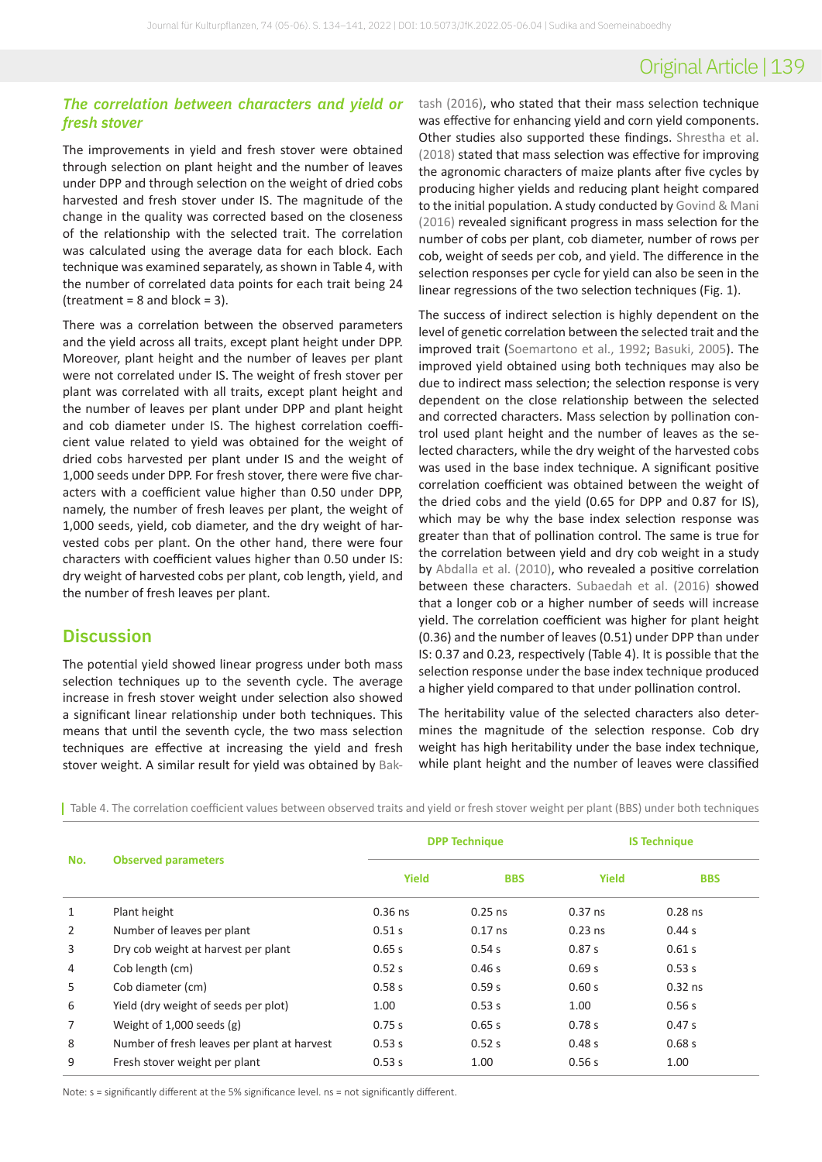# Original Article | 139

### *The correlation between characters and yield or fresh stover*

The improvements in yield and fresh stover were obtained through selection on plant height and the number of leaves under DPP and through selection on the weight of dried cobs harvested and fresh stover under IS. The magnitude of the change in the quality was corrected based on the closeness of the relationship with the selected trait. The correlation was calculated using the average data for each block. Each technique was examined separately, as shown in Table 4, with the number of correlated data points for each trait being 24  $(treatment = 8 and block = 3).$ 

There was a correlation between the observed parameters and the yield across all traits, except plant height under DPP. Moreover, plant height and the number of leaves per plant were not correlated under IS. The weight of fresh stover per plant was correlated with all traits, except plant height and the number of leaves per plant under DPP and plant height and cob diameter under IS. The highest correlation coefficient value related to yield was obtained for the weight of dried cobs harvested per plant under IS and the weight of 1,000 seeds under DPP. For fresh stover, there were five characters with a coefficient value higher than 0.50 under DPP, namely, the number of fresh leaves per plant, the weight of 1,000 seeds, yield, cob diameter, and the dry weight of harvested cobs per plant. On the other hand, there were four characters with coefficient values higher than 0.50 under IS: dry weight of harvested cobs per plant, cob length, yield, and the number of fresh leaves per plant.

### **Discussion**

The potential yield showed linear progress under both mass selection techniques up to the seventh cycle. The average increase in fresh stover weight under selection also showed a significant linear relationship under both techniques. This means that until the seventh cycle, the two mass selection techniques are effective at increasing the yield and fresh stover weight. A similar result for yield was obtained by [Bak](#page-6-4)-

[tash \(2016\),](#page-6-4) who stated that their mass selection technique was effective for enhancing yield and corn yield components. Other studies also supported these findings. [Shrestha et al.](#page-7-1)  [\(2018\)](#page-7-1) stated that mass selection was effective for improving the agronomic characters of maize plants after five cycles by producing higher yields and reducing plant height compared to the initial population. A study conducted by Govind & Mani [\(2016\)](#page-6-0) revealed significant progress in mass selection for the number of cobs per plant, cob diameter, number of rows per cob, weight of seeds per cob, and yield. The difference in the selection responses per cycle for yield can also be seen in the linear regressions of the two selection techniques (Fig. 1).

The success of indirect selection is highly dependent on the level of genetic correlation between the selected trait and the improved trait [\(Soemartono et al., 1992](#page-7-11); [Basuki, 2005](#page-6-1)). The improved yield obtained using both techniques may also be due to indirect mass selection; the selection response is very dependent on the close relationship between the selected and corrected characters. Mass selection by pollination control used plant height and the number of leaves as the selected characters, while the dry weight of the harvested cobs was used in the base index technique. A significant positive correlation coefficient was obtained between the weight of the dried cobs and the yield (0.65 for DPP and 0.87 for IS), which may be why the base index selection response was greater than that of pollination control. The same is true for the correlation between yield and dry cob weight in a study by [Abdalla et al. \(2010\)](#page-6-5), who revealed a positive correlation between these characters. [Subaedah et al. \(2016\)](#page-7-12) showed that a longer cob or a higher number of seeds will increase yield. The correlation coefficient was higher for plant height (0.36) and the number of leaves (0.51) under DPP than under IS: 0.37 and 0.23, respectively (Table 4). It is possible that the selection response under the base index technique produced a higher yield compared to that under pollination control.

The heritability value of the selected characters also determines the magnitude of the selection response. Cob dry weight has high heritability under the base index technique, while plant height and the number of leaves were classified

Table 4. The correlation coefficient values between observed traits and yield or fresh stover weight per plant (BBS) under both techniques

| No.            |                                             |              | <b>DPP Technique</b> | <b>IS Technique</b> |            |
|----------------|---------------------------------------------|--------------|----------------------|---------------------|------------|
|                | <b>Observed parameters</b>                  | <b>Yield</b> | <b>BBS</b>           | <b>Yield</b>        | <b>BBS</b> |
| $\mathbf{1}$   | Plant height                                | $0.36$ ns    | $0.25$ ns            | $0.37$ ns           | $0.28$ ns  |
| $\overline{2}$ | Number of leaves per plant                  | 0.51 s       | $0.17$ ns            | $0.23$ ns           | 0.44 s     |
| 3              | Dry cob weight at harvest per plant         | 0.65 s       | 0.54s                | 0.87 s              | 0.61 s     |
| $\overline{4}$ | Cob length (cm)                             | 0.52 s       | 0.46 s               | 0.69 s              | 0.53 s     |
| 5              | Cob diameter (cm)                           | 0.58s        | 0.59s                | 0.60 s              | $0.32$ ns  |
| 6              | Yield (dry weight of seeds per plot)        | 1.00         | 0.53 s               | 1.00                | 0.56s      |
| $\overline{7}$ | Weight of $1,000$ seeds $(g)$               | 0.75 s       | 0.65 s               | 0.78 s              | 0.47s      |
| 8              | Number of fresh leaves per plant at harvest | 0.53 s       | 0.52 s               | 0.48 s              | 0.68s      |
| 9              | Fresh stover weight per plant               | 0.53 s       | 1.00                 | 0.56 s              | 1.00       |

Note: s = significantly different at the 5% significance level. ns = not significantly different.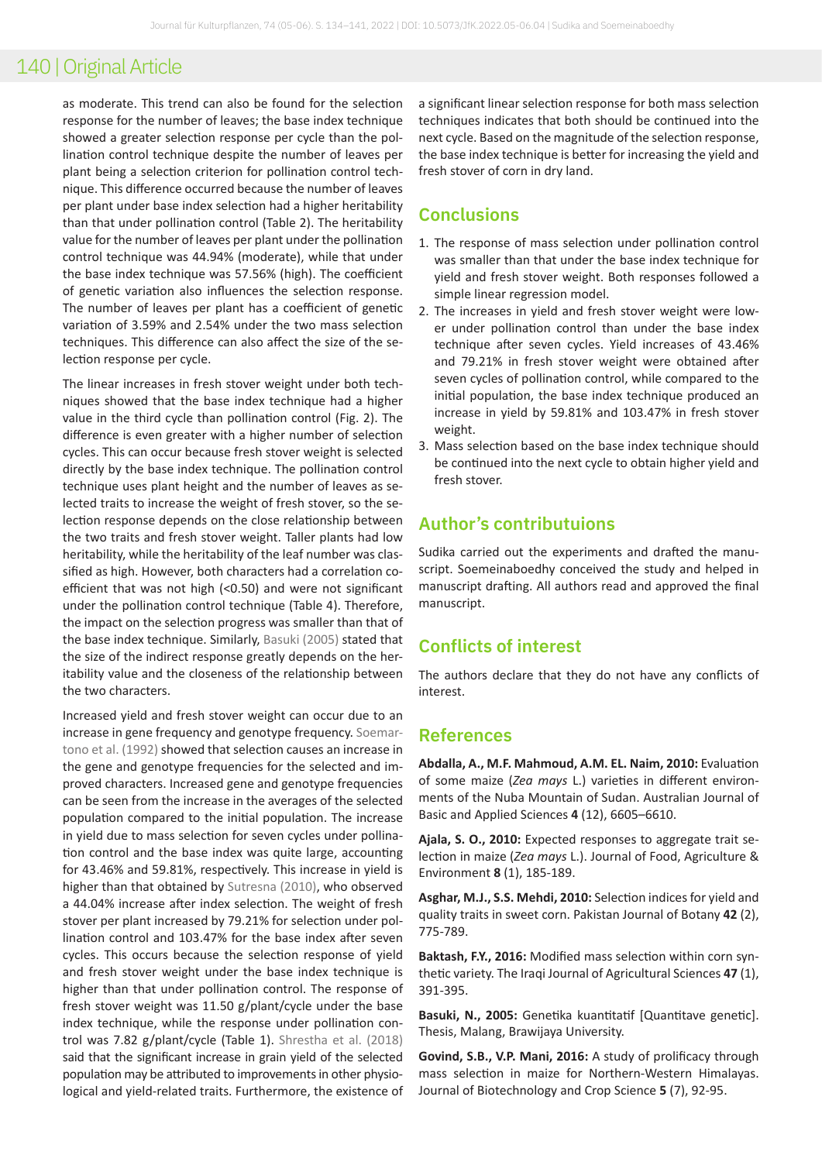as moderate. This trend can also be found for the selection response for the number of leaves; the base index technique showed a greater selection response per cycle than the pollination control technique despite the number of leaves per plant being a selection criterion for pollination control technique. This difference occurred because the number of leaves per plant under base index selection had a higher heritability than that under pollination control (Table 2). The heritability value for the number of leaves per plant under the pollination control technique was 44.94% (moderate), while that under the base index technique was 57.56% (high). The coefficient of genetic variation also influences the selection response. The number of leaves per plant has a coefficient of genetic variation of 3.59% and 2.54% under the two mass selection techniques. This difference can also affect the size of the selection response per cycle.

The linear increases in fresh stover weight under both techniques showed that the base index technique had a higher value in the third cycle than pollination control (Fig. 2). The difference is even greater with a higher number of selection cycles. This can occur because fresh stover weight is selected directly by the base index technique. The pollination control technique uses plant height and the number of leaves as selected traits to increase the weight of fresh stover, so the selection response depends on the close relationship between the two traits and fresh stover weight. Taller plants had low heritability, while the heritability of the leaf number was classified as high. However, both characters had a correlation coefficient that was not high (<0.50) and were not significant under the pollination control technique (Table 4). Therefore, the impact on the selection progress was smaller than that of the base index technique. Similarly, [Basuki \(2005\)](#page-6-1) stated that the size of the indirect response greatly depends on the heritability value and the closeness of the relationship between the two characters.

Increased yield and fresh stover weight can occur due to an increase in gene frequency and genotype frequency. [Soemar](#page-7-11)[tono et al. \(1992\)](#page-7-11) showed that selection causes an increase in the gene and genotype frequencies for the selected and improved characters. Increased gene and genotype frequencies can be seen from the increase in the averages of the selected population compared to the initial population. The increase in yield due to mass selection for seven cycles under pollination control and the base index was quite large, accounting for 43.46% and 59.81%, respectively. This increase in yield is higher than that obtained by [Sutresna \(2010\)](#page-7-3), who observed a 44.04% increase after index selection. The weight of fresh stover per plant increased by 79.21% for selection under pollination control and 103.47% for the base index after seven cycles. This occurs because the selection response of yield and fresh stover weight under the base index technique is higher than that under pollination control. The response of fresh stover weight was 11.50 g/plant/cycle under the base index technique, while the response under pollination control was 7.82 g/plant/cycle (Table 1). [Shrestha et al. \(2018\)](#page-7-1) said that the significant increase in grain yield of the selected population may be attributed to improvements in other physiological and yield-related traits. Furthermore, the existence of a significant linear selection response for both mass selection techniques indicates that both should be continued into the next cycle. Based on the magnitude of the selection response, the base index technique is better for increasing the yield and fresh stover of corn in dry land.

### **Conclusions**

- 1. The response of mass selection under pollination control was smaller than that under the base index technique for yield and fresh stover weight. Both responses followed a simple linear regression model.
- 2. The increases in yield and fresh stover weight were lower under pollination control than under the base index technique after seven cycles. Yield increases of 43.46% and 79.21% in fresh stover weight were obtained after seven cycles of pollination control, while compared to the initial population, the base index technique produced an increase in yield by 59.81% and 103.47% in fresh stover weight.
- 3. Mass selection based on the base index technique should be continued into the next cycle to obtain higher yield and fresh stover.

### **Author's contributuions**

Sudika carried out the experiments and drafted the manuscript. Soemeinaboedhy conceived the study and helped in manuscript drafting. All authors read and approved the final manuscript.

### **Conflicts of interest**

The authors declare that they do not have any conflicts of interest.

### **References**

<span id="page-6-5"></span>**Abdalla, A., M.F. Mahmoud, A.M. EL. Naim, 2010:** Evaluation of some maize (*Zea mays* L.) varieties in different environments of the Nuba Mountain of Sudan. Australian Journal of Basic and Applied Sciences **4** (12), 6605–6610.

<span id="page-6-2"></span>**Ajala, S. O., 2010:** Expected responses to aggregate trait selection in maize (*Zea mays* L.). Journal of Food, Agriculture & Environment **8** (1), 185-189.

<span id="page-6-3"></span>**Asghar, M.J., S.S. Mehdi, 2010:** Selection indices for yield and quality traits in sweet corn. Pakistan Journal of Botany **42** (2), 775-789.

<span id="page-6-4"></span>**Baktash, F.Y., 2016:** Modified mass selection within corn synthetic variety. The Iraqi Journal of Agricultural Sciences **47** (1), 391-395.

<span id="page-6-1"></span>**Basuki, N., 2005:** Genetika kuantitatif [Quantitave genetic]. Thesis, Malang, Brawijaya University.

<span id="page-6-0"></span>**Govind, S.B., V.P. Mani, 2016:** A study of prolificacy through mass selection in maize for Northern-Western Himalayas. Journal of Biotechnology and Crop Science **5** (7), 92-95.